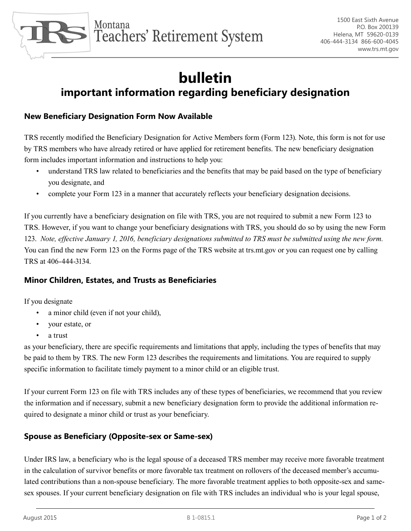

## **bulletin important information regarding beneficiary designation**

## **New Beneficiary Designation Form Now Available**

TRS recently modified the Beneficiary Designation for Active Members form (Form 123). Note, this form is not for use by TRS members who have already retired or have applied for retirement benefits. The new beneficiary designation form includes important information and instructions to help you:

- understand TRS law related to beneficiaries and the benefits that may be paid based on the type of beneficiary you designate, and
- complete your Form 123 in a manner that accurately reflects your beneficiary designation decisions.

If you currently have a beneficiary designation on file with TRS, you are not required to submit a new Form 123 to TRS. However, if you want to change your beneficiary designations with TRS, you should do so by using the new Form 123. *Note, effective January 1, 2016, beneficiary designations submitted to TRS must be submitted using the new form.*  You can find the new Form 123 on the Forms page of the TRS website at trs.mt.gov or you can request one by calling TRS at 406-444-3134.

## **Minor Children, Estates, and Trusts as Beneficiaries**

If you designate

- a minor child (even if not your child),
- • your estate, or
- a trust

as your beneficiary, there are specific requirements and limitations that apply, including the types of benefits that may be paid to them by TRS. The new Form 123 describes the requirements and limitations. You are required to supply specific information to facilitate timely payment to a minor child or an eligible trust.

If your current Form 123 on file with TRS includes any of these types of beneficiaries, we recommend that you review the information and if necessary, submit a new beneficiary designation form to provide the additional information required to designate a minor child or trust as your beneficiary.

## **Spouse as Beneficiary (Opposite-sex or Same-sex)**

Under IRS law, a beneficiary who is the legal spouse of a deceased TRS member may receive more favorable treatment in the calculation of survivor benefits or more favorable tax treatment on rollovers of the deceased member's accumulated contributions than a non-spouse beneficiary. The more favorable treatment applies to both opposite-sex and samesex spouses. If your current beneficiary designation on file with TRS includes an individual who is your legal spouse,